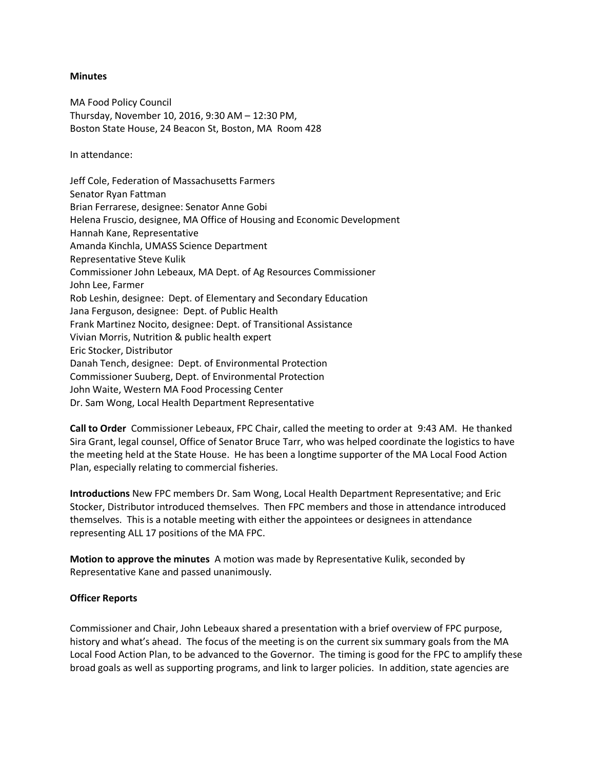#### **Minutes**

MA Food Policy Council Thursday, November 10, 2016, 9:30 AM – 12:30 PM, Boston State House, 24 Beacon St, Boston, MA Room 428

In attendance:

Jeff Cole, Federation of Massachusetts Farmers Senator Ryan Fattman Brian Ferrarese, designee: Senator Anne Gobi Helena Fruscio, designee, MA Office of Housing and Economic Development Hannah Kane, Representative Amanda Kinchla, UMASS Science Department Representative Steve Kulik Commissioner John Lebeaux, MA Dept. of Ag Resources Commissioner John Lee, Farmer Rob Leshin, designee: Dept. of Elementary and Secondary Education Jana Ferguson, designee: Dept. of Public Health Frank Martinez Nocito, designee: Dept. of Transitional Assistance Vivian Morris, Nutrition & public health expert Eric Stocker, Distributor Danah Tench, designee: Dept. of Environmental Protection Commissioner Suuberg, Dept. of Environmental Protection John Waite, Western MA Food Processing Center Dr. Sam Wong, Local Health Department Representative

**Call to Order** Commissioner Lebeaux, FPC Chair, called the meeting to order at 9:43 AM. He thanked Sira Grant, legal counsel, Office of Senator Bruce Tarr, who was helped coordinate the logistics to have the meeting held at the State House. He has been a longtime supporter of the MA Local Food Action Plan, especially relating to commercial fisheries*.* 

**Introductions** New FPC members Dr. Sam Wong, Local Health Department Representative; and Eric Stocker, Distributor introduced themselves. Then FPC members and those in attendance introduced themselves. This is a notable meeting with either the appointees or designees in attendance representing ALL 17 positions of the MA FPC.

**Motion to approve the minutes** A motion was made by Representative Kulik, seconded by Representative Kane and passed unanimously.

# **Officer Reports**

Commissioner and Chair, John Lebeaux shared a presentation with a brief overview of FPC purpose, history and what's ahead. The focus of the meeting is on the current six summary goals from the MA Local Food Action Plan, to be advanced to the Governor. The timing is good for the FPC to amplify these broad goals as well as supporting programs, and link to larger policies. In addition, state agencies are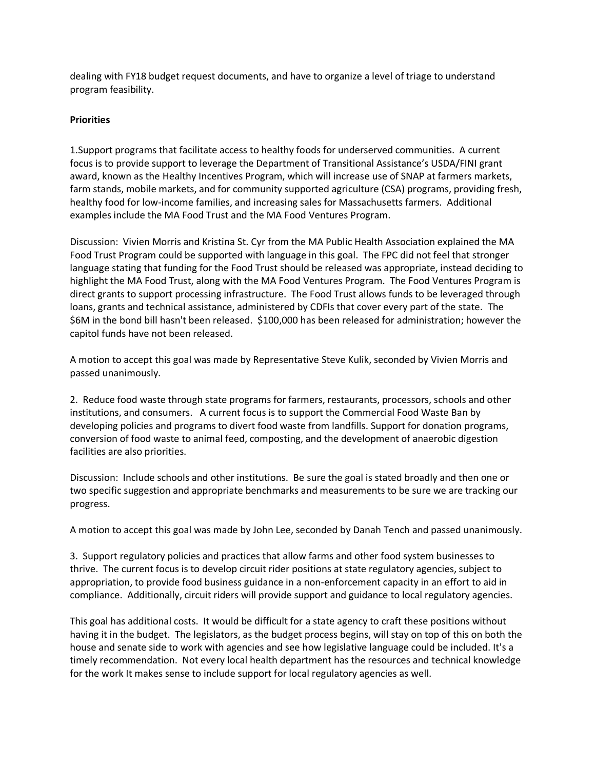dealing with FY18 budget request documents, and have to organize a level of triage to understand program feasibility.

# **Priorities**

1.Support programs that facilitate access to healthy foods for underserved communities. A current focus is to provide support to leverage the Department of Transitional Assistance's USDA/FINI grant award, known as the Healthy Incentives Program, which will increase use of SNAP at farmers markets, farm stands, mobile markets, and for community supported agriculture (CSA) programs, providing fresh, healthy food for low-income families, and increasing sales for Massachusetts farmers. Additional examples include the MA Food Trust and the MA Food Ventures Program.

Discussion: Vivien Morris and Kristina St. Cyr from the MA Public Health Association explained the MA Food Trust Program could be supported with language in this goal. The FPC did not feel that stronger language stating that funding for the Food Trust should be released was appropriate, instead deciding to highlight the MA Food Trust, along with the MA Food Ventures Program. The Food Ventures Program is direct grants to support processing infrastructure. The Food Trust allows funds to be leveraged through loans, grants and technical assistance, administered by CDFIs that cover every part of the state. The \$6M in the bond bill hasn't been released. \$100,000 has been released for administration; however the capitol funds have not been released.

A motion to accept this goal was made by Representative Steve Kulik, seconded by Vivien Morris and passed unanimously.

2. Reduce food waste through state programs for farmers, restaurants, processors, schools and other institutions, and consumers. A current focus is to support the Commercial Food Waste Ban by developing policies and programs to divert food waste from landfills. Support for donation programs, conversion of food waste to animal feed, composting, and the development of anaerobic digestion facilities are also priorities.

Discussion: Include schools and other institutions. Be sure the goal is stated broadly and then one or two specific suggestion and appropriate benchmarks and measurements to be sure we are tracking our progress.

A motion to accept this goal was made by John Lee, seconded by Danah Tench and passed unanimously.

3. Support regulatory policies and practices that allow farms and other food system businesses to thrive. The current focus is to develop circuit rider positions at state regulatory agencies, subject to appropriation, to provide food business guidance in a non-enforcement capacity in an effort to aid in compliance. Additionally, circuit riders will provide support and guidance to local regulatory agencies.

This goal has additional costs. It would be difficult for a state agency to craft these positions without having it in the budget. The legislators, as the budget process begins, will stay on top of this on both the house and senate side to work with agencies and see how legislative language could be included. It's a timely recommendation. Not every local health department has the resources and technical knowledge for the work It makes sense to include support for local regulatory agencies as well.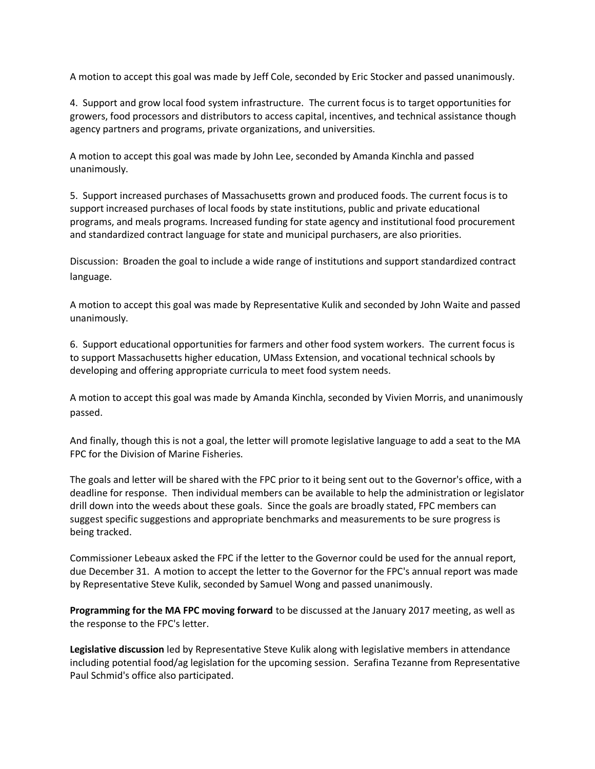A motion to accept this goal was made by Jeff Cole, seconded by Eric Stocker and passed unanimously.

4. Support and grow local food system infrastructure. The current focus is to target opportunities for growers, food processors and distributors to access capital, incentives, and technical assistance though agency partners and programs, private organizations, and universities.

A motion to accept this goal was made by John Lee, seconded by Amanda Kinchla and passed unanimously.

5. Support increased purchases of Massachusetts grown and produced foods. The current focus is to support increased purchases of local foods by state institutions, public and private educational programs, and meals programs. Increased funding for state agency and institutional food procurement and standardized contract language for state and municipal purchasers, are also priorities.

Discussion: Broaden the goal to include a wide range of institutions and support standardized contract language.

A motion to accept this goal was made by Representative Kulik and seconded by John Waite and passed unanimously.

6. Support educational opportunities for farmers and other food system workers. The current focus is to support Massachusetts higher education, UMass Extension, and vocational technical schools by developing and offering appropriate curricula to meet food system needs.

A motion to accept this goal was made by Amanda Kinchla, seconded by Vivien Morris, and unanimously passed.

And finally, though this is not a goal, the letter will promote legislative language to add a seat to the MA FPC for the Division of Marine Fisheries.

The goals and letter will be shared with the FPC prior to it being sent out to the Governor's office, with a deadline for response. Then individual members can be available to help the administration or legislator drill down into the weeds about these goals. Since the goals are broadly stated, FPC members can suggest specific suggestions and appropriate benchmarks and measurements to be sure progress is being tracked.

Commissioner Lebeaux asked the FPC if the letter to the Governor could be used for the annual report, due December 31. A motion to accept the letter to the Governor for the FPC's annual report was made by Representative Steve Kulik, seconded by Samuel Wong and passed unanimously.

**Programming for the MA FPC moving forward** to be discussed at the January 2017 meeting, as well as the response to the FPC's letter.

**Legislative discussion** led by Representative Steve Kulik along with legislative members in attendance including potential food/ag legislation for the upcoming session. Serafina Tezanne from Representative Paul Schmid's office also participated.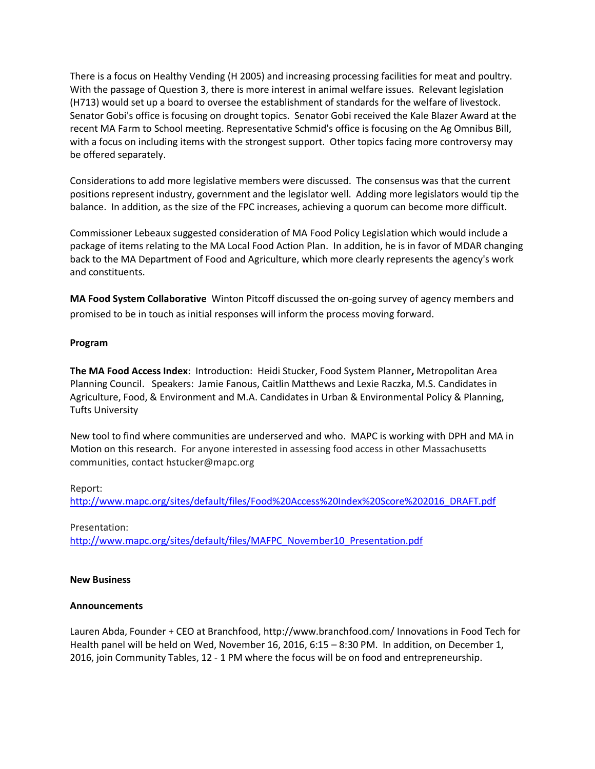There is a focus on Healthy Vending (H 2005) and increasing processing facilities for meat and poultry. With the passage of Question 3, there is more interest in animal welfare issues. Relevant legislation (H713) would set up a board to oversee the establishment of standards for the welfare of livestock. Senator Gobi's office is focusing on drought topics. Senator Gobi received the Kale Blazer Award at the recent MA Farm to School meeting. Representative Schmid's office is focusing on the Ag Omnibus Bill, with a focus on including items with the strongest support. Other topics facing more controversy may be offered separately.

Considerations to add more legislative members were discussed. The consensus was that the current positions represent industry, government and the legislator well. Adding more legislators would tip the balance. In addition, as the size of the FPC increases, achieving a quorum can become more difficult.

Commissioner Lebeaux suggested consideration of MA Food Policy Legislation which would include a package of items relating to the MA Local Food Action Plan. In addition, he is in favor of MDAR changing back to the MA Department of Food and Agriculture, which more clearly represents the agency's work and constituents.

**MA Food System Collaborative** Winton Pitcoff discussed the on-going survey of agency members and promised to be in touch as initial responses will inform the process moving forward.

## **Program**

**The MA Food Access Index**: Introduction: Heidi Stucker, Food System Planner**,** Metropolitan Area Planning Council. Speakers: Jamie Fanous, Caitlin Matthews and Lexie Raczka, M.S. Candidates in Agriculture, Food, & Environment and M.A. Candidates in Urban & Environmental Policy & Planning, Tufts University

New tool to find where communities are underserved and who. MAPC is working with DPH and MA in Motion on this research. For anyone interested in assessing food access in other Massachusetts communities, contact hstucker@mapc.org

#### Report:

[http://www.mapc.org/sites/default/files/Food%20Access%20Index%20Score%202016\\_DRAFT.pdf](https://urldefense.proofpoint.com/v2/url?u=http-3A__www.mapc.org_sites_default_files_Food-2520Access-2520Index-2520Score-25202016-5FDRAFT.pdf&d=DQMFAg&c=lDF7oMaPKXpkYvev9V-fVahWL0QWnGCCAfCDz1Bns_w&r=YrpVnhwhSgMBP3cJC2A1bNNUqc_H54UHV1hG5zLaX_c&m=czbf0g8q2yWLV1-q9W2PCgbQ_iqMKx7_O0cNS2SRQxM&s=t7O-z-4AnO-fum43Gt8bBP-4cSzJM4ojhguPdqu_Aok&e=)

#### Presentation:

[http://www.mapc.org/sites/default/files/MAFPC\\_November10\\_Presentation.pdf](https://urldefense.proofpoint.com/v2/url?u=http-3A__www.mapc.org_sites_default_files_MAFPC-5FNovember10-5FPresentation.pdf&d=DQMFAg&c=lDF7oMaPKXpkYvev9V-fVahWL0QWnGCCAfCDz1Bns_w&r=YrpVnhwhSgMBP3cJC2A1bNNUqc_H54UHV1hG5zLaX_c&m=czbf0g8q2yWLV1-q9W2PCgbQ_iqMKx7_O0cNS2SRQxM&s=DrcTdC9V0gLKqqgZZAqUEatsl6UU9AelagYYd9sbI4s&e=)

#### **New Business**

#### **Announcements**

Lauren Abda, Founder + CEO at Branchfood, [http://www.branchfood.com/](https://urldefense.proofpoint.com/v2/url?u=http-3A__www.branchfood.com_&d=DQMFaQ&c=lDF7oMaPKXpkYvev9V-fVahWL0QWnGCCAfCDz1Bns_w&r=YrpVnhwhSgMBP3cJC2A1bNNUqc_H54UHV1hG5zLaX_c&m=vcVRt1HmfrH9SWVI2jdJeoq6b7WBA_8lj5arjixS6S4&s=F3OkREvWbShB84PF4tRdyHhh6g0PTIlP9m-zjr4QCkA&e=) Innovations in Food Tech for Health panel will be held on Wed, November 16, 2016, 6:15 – 8:30 PM. In addition, on December 1, 2016, join Community Tables, 12 - 1 PM where the focus will be on food and entrepreneurship.